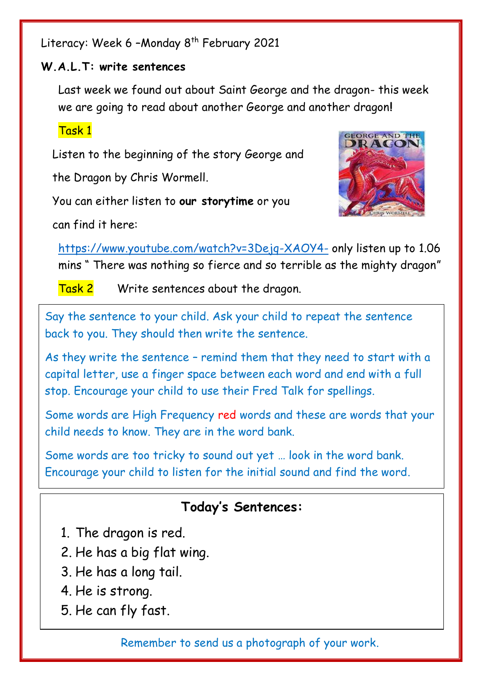Literacy: Week 6 - Monday 8<sup>th</sup> February 2021

## **W.A.L.T: write sentences**

Last week we found out about Saint George and the dragon- this week we are going to read about another George and another dragon**!**

## Task 1

Listen to the beginning of the story George and

the Dragon by Chris Wormell.

You can either listen to **our storytime** or you

can find it here:



<https://www.youtube.com/watch?v=3Dejq-XAOY4-> only listen up to 1.06 mins " There was nothing so fierce and so terrible as the mighty dragon"

Task 2 Write sentences about the dragon.

Say the sentence to your child. Ask your child to repeat the sentence back to you. They should then write the sentence.

As they write the sentence – remind them that they need to start with a capital letter, use a finger space between each word and end with a full stop. Encourage your child to use their Fred Talk for spellings.

Some words are High Frequency red words and these are words that your child needs to know. They are in the word bank.

Some words are too tricky to sound out yet … look in the word bank. Encourage your child to listen for the initial sound and find the word.

## **Today's Sentences:**

- 1. The dragon is red.
- 2. He has a big flat wing.
- 3. He has a long tail.
- 4. He is strong.
- 5. He can fly fast.

Remember to send us a photograph of your work.